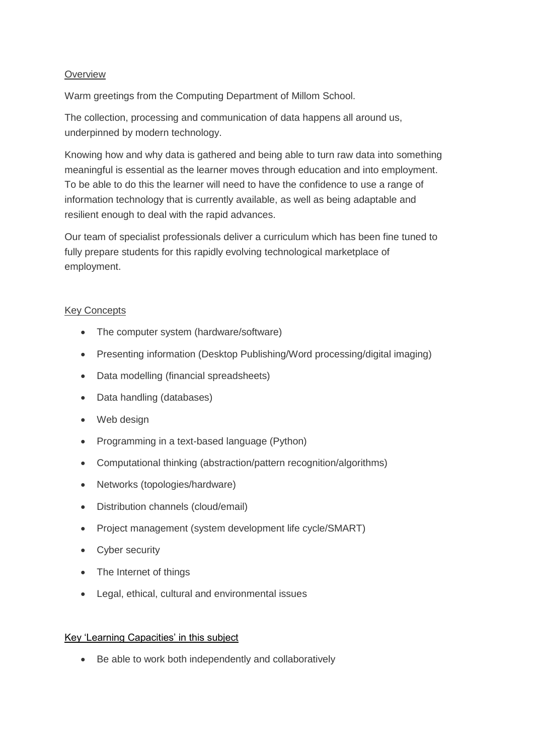# **Overview**

Warm greetings from the Computing Department of Millom School.

The collection, processing and communication of data happens all around us, underpinned by modern technology.

Knowing how and why data is gathered and being able to turn raw data into something meaningful is essential as the learner moves through education and into employment. To be able to do this the learner will need to have the confidence to use a range of information technology that is currently available, as well as being adaptable and resilient enough to deal with the rapid advances.

Our team of specialist professionals deliver a curriculum which has been fine tuned to fully prepare students for this rapidly evolving technological marketplace of employment.

## Key Concepts

- The computer system (hardware/software)
- Presenting information (Desktop Publishing/Word processing/digital imaging)
- Data modelling (financial spreadsheets)
- Data handling (databases)
- Web design
- Programming in a text-based language (Python)
- Computational thinking (abstraction/pattern recognition/algorithms)
- Networks (topologies/hardware)
- Distribution channels (cloud/email)
- Project management (system development life cycle/SMART)
- Cyber security
- The Internet of things
- Legal, ethical, cultural and environmental issues

## Key 'Learning Capacities' in this subject

• Be able to work both independently and collaboratively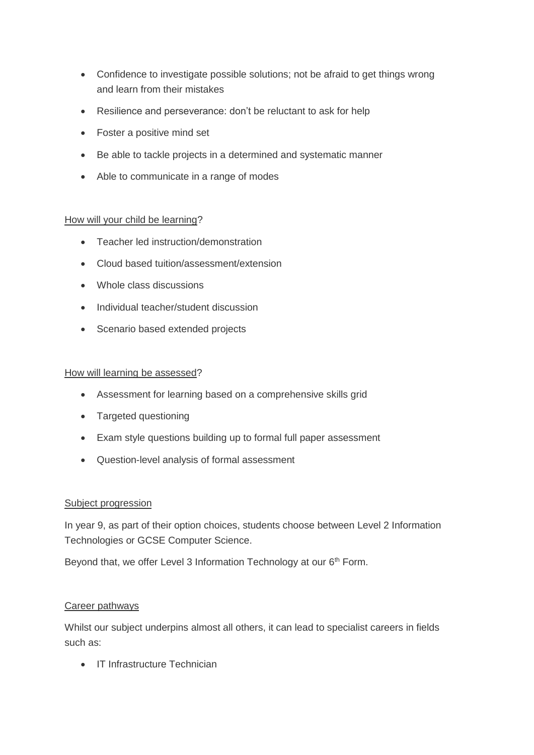- Confidence to investigate possible solutions; not be afraid to get things wrong and learn from their mistakes
- Resilience and perseverance: don't be reluctant to ask for help
- Foster a positive mind set
- Be able to tackle projects in a determined and systematic manner
- Able to communicate in a range of modes

## How will your child be learning?

- Teacher led instruction/demonstration
- Cloud based tuition/assessment/extension
- Whole class discussions
- Individual teacher/student discussion
- Scenario based extended projects

### How will learning be assessed?

- Assessment for learning based on a comprehensive skills grid
- Targeted questioning
- Exam style questions building up to formal full paper assessment
- Question-level analysis of formal assessment

#### Subject progression

In year 9, as part of their option choices, students choose between Level 2 Information Technologies or GCSE Computer Science.

Beyond that, we offer Level 3 Information Technology at our 6<sup>th</sup> Form.

#### Career pathways

Whilst our subject underpins almost all others, it can lead to specialist careers in fields such as:

• IT Infrastructure Technician